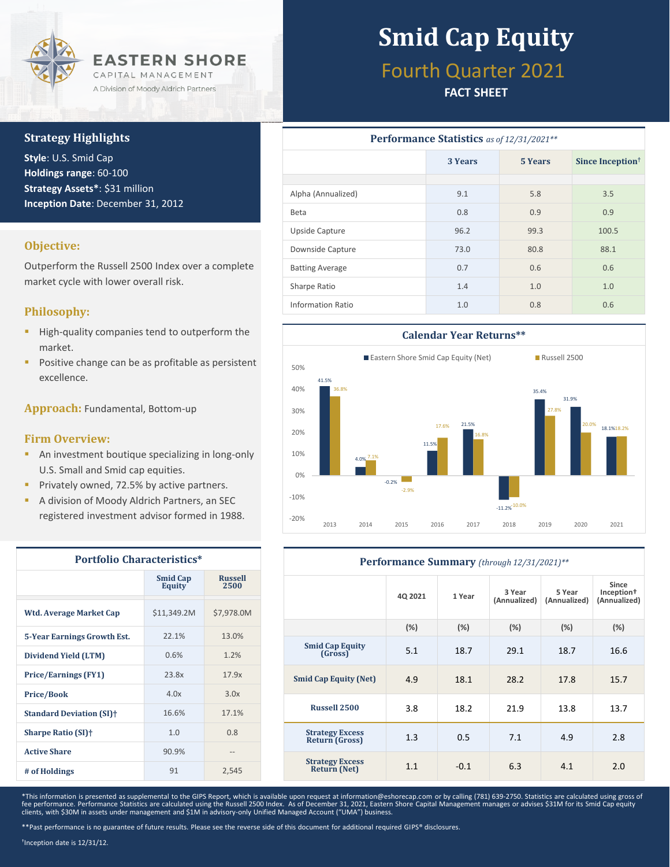

#### **Strategy Highlights**

**Style**: U.S. Smid Cap **Holdings range**: 60-100 **Strategy Assets\***: \$31 million **Inception Date**: December 31, 2012

#### **Objective:**

Outperform the Russell 2500 Index over a complete market cycle with lower overall risk.

#### **Philosophy:**

- **·** High-quality companies tend to outperform the market.
- Positive change can be as profitable as persistent excellence.

**Approach:** Fundamental, Bottom-up

#### **Firm Overview:**

- **E** An investment boutique specializing in long-only U.S. Small and Smid cap equities.
- **Privately owned, 72.5% by active partners.**
- A division of Moody Aldrich Partners, an SEC registered investment advisor formed in 1988.

| <b>Portfolio Characteristics*</b>     |                           |                        |  |  |  |
|---------------------------------------|---------------------------|------------------------|--|--|--|
|                                       | <b>Smid Cap</b><br>Equity | <b>Russell</b><br>2500 |  |  |  |
| <b>Wtd. Average Market Cap</b>        | \$11,349.2M               | \$7,978.0M             |  |  |  |
| 5-Year Earnings Growth Est.           | 22.1%                     | 13.0%                  |  |  |  |
| Dividend Yield (LTM)                  | 0.6%                      | 1.2%                   |  |  |  |
| <b>Price/Earnings (FY1)</b>           | 23.8x                     | 17.9x                  |  |  |  |
| <b>Price/Book</b>                     | 4.0x                      | 3.0x                   |  |  |  |
| <b>Standard Deviation (SI)</b> †      | 16.6%                     | 17.1%                  |  |  |  |
| <b>Sharpe Ratio (SI)</b> <sup>+</sup> | 1.0                       | 0.8                    |  |  |  |
| <b>Active Share</b>                   | 90.9%                     |                        |  |  |  |
| # of Holdings                         | 91                        | 2,545                  |  |  |  |

# **Smid Cap Equity**

### Fourth Quarter 2021

#### **FACT SHEET**

| Performance Statistics as of 12/31/2021** |         |         |                              |  |  |
|-------------------------------------------|---------|---------|------------------------------|--|--|
|                                           | 3 Years | 5 Years | Since Inception <sup>†</sup> |  |  |
|                                           |         |         |                              |  |  |
| Alpha (Annualized)                        | 9.1     | 5.8     | 3.5                          |  |  |
| Beta                                      | 0.8     | 0.9     | 0.9                          |  |  |
| Upside Capture                            | 96.2    | 99.3    | 100.5                        |  |  |
| Downside Capture                          | 73.0    | 80.8    | 88.1                         |  |  |
| <b>Batting Average</b>                    | 0.7     | 0.6     | 0.6                          |  |  |
| Sharpe Ratio                              | 1.4     | 1.0     | 1.0                          |  |  |
| Information Ratio                         | 1.0     | 0.8     | 0.6                          |  |  |



| Performance Summary (through 12/31/2021)**      |         |         |                        |                        |                                                 |  |
|-------------------------------------------------|---------|---------|------------------------|------------------------|-------------------------------------------------|--|
|                                                 | 4Q 2021 | 1 Year  | 3 Year<br>(Annualized) | 5 Year<br>(Annualized) | Since<br>Inception <sup>+</sup><br>(Annualized) |  |
|                                                 | $(\%)$  | $(\% )$ | (%)                    | (%)                    | (%)                                             |  |
| <b>Smid Cap Equity</b><br>(Gross)               | 5.1     | 18.7    | 29.1                   | 18.7                   | 16.6                                            |  |
| <b>Smid Cap Equity (Net)</b>                    | 4.9     | 18.1    | 28.2                   | 17.8                   | 15.7                                            |  |
| <b>Russell 2500</b>                             | 3.8     | 18.2    | 21.9                   | 13.8                   | 13.7                                            |  |
| <b>Strategy Excess</b><br><b>Return (Gross)</b> | 1.3     | 0.5     | 7.1                    | 4.9                    | 2.8                                             |  |
| <b>Strategy Excess</b><br><b>Return (Net)</b>   | 1.1     | $-0.1$  | 6.3                    | 4.1                    | 2.0                                             |  |

\*This information is presented as supplemental to the GIPS Report, which is available upon request at information@eshorecap.com or by calling (781) 639-2750. Statistics are calculated using gross of fee performance. Performance Statistics are calculated using the Russell 2500 Index. As of December 31, 2021, Eastern Shore Capital Management manages or advises \$31M for its Smid Cap equity<br>clients, with \$30M in assets un

\*\*Past performance is no guarantee of future results. Please see the reverse side of this document for additional required GIPS® disclosures.

† Inception date is 12/31/12.